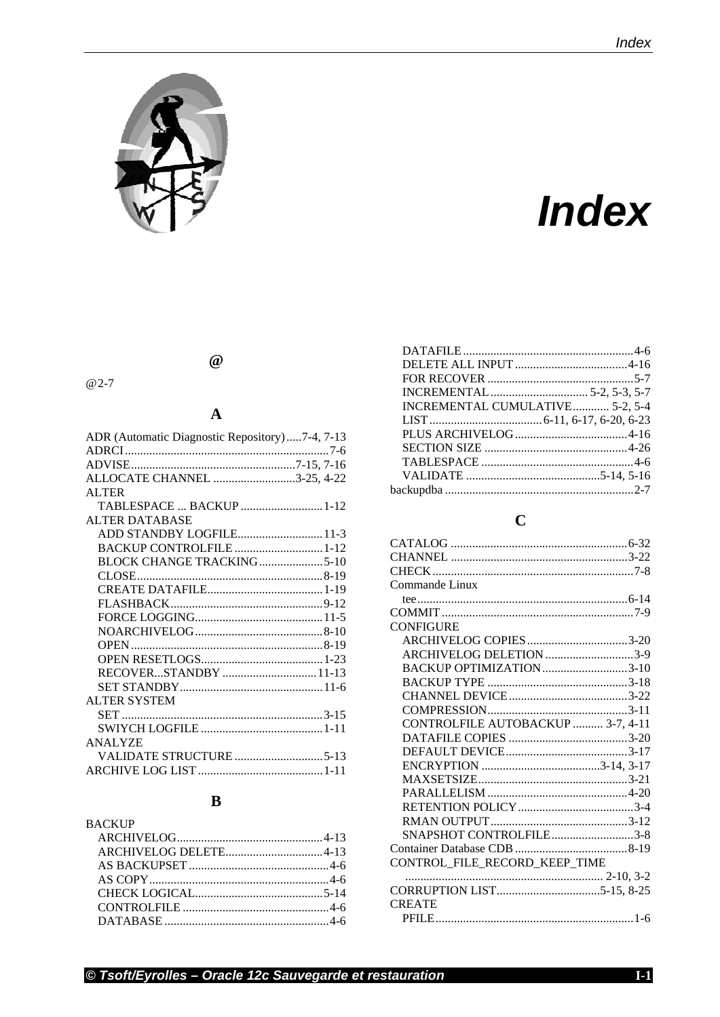

# **Index**

#### $\omega$

#### $@2-7$

#### $\boldsymbol{\rm{A}}$

| ADR (Automatic Diagnostic Repository)7-4, 7-13 |  |
|------------------------------------------------|--|
|                                                |  |
|                                                |  |
| ALLOCATE CHANNEL 3-25, 4-22                    |  |
| ALTER                                          |  |
| TABLESPACE  BACKUP 1-12                        |  |
| <b>ALTER DATABASE</b>                          |  |
| ADD STANDBY LOGFILE11-3                        |  |
| BACKUP CONTROLFILE 1-12                        |  |
| BLOCK CHANGE TRACKING5-10                      |  |
|                                                |  |
|                                                |  |
|                                                |  |
|                                                |  |
|                                                |  |
|                                                |  |
|                                                |  |
| RECOVERSTANDBY11-13                            |  |
|                                                |  |
| <b>ALTER SYSTEM</b>                            |  |
|                                                |  |
|                                                |  |
| <b>ANALYZE</b>                                 |  |
|                                                |  |
|                                                |  |
|                                                |  |

### $\overline{B}$

| <b>BACKUP</b> |  |
|---------------|--|
|               |  |
|               |  |
|               |  |
|               |  |
|               |  |
|               |  |
|               |  |
|               |  |

| INCREMENTAL CUMULATIVE 5-2, 5-4 |  |
|---------------------------------|--|
|                                 |  |
|                                 |  |
|                                 |  |
|                                 |  |
|                                 |  |
|                                 |  |
|                                 |  |

#### $\mathbf C$

| Commande Linux                    |  |
|-----------------------------------|--|
|                                   |  |
|                                   |  |
| <b>CONFIGURE</b>                  |  |
| ARCHIVELOG COPIES 3-20            |  |
| ARCHIVELOG DELETION 3-9           |  |
| BACKUP OPTIMIZATION3-10           |  |
|                                   |  |
|                                   |  |
|                                   |  |
| CONTROLFILE AUTOBACKUP  3-7, 4-11 |  |
|                                   |  |
|                                   |  |
|                                   |  |
|                                   |  |
|                                   |  |
|                                   |  |
|                                   |  |
| SNAPSHOT CONTROLFILE3-8           |  |
|                                   |  |
| CONTROL_FILE_RECORD_KEEP_TIME     |  |
|                                   |  |
|                                   |  |
| <b>CREATE</b>                     |  |
|                                   |  |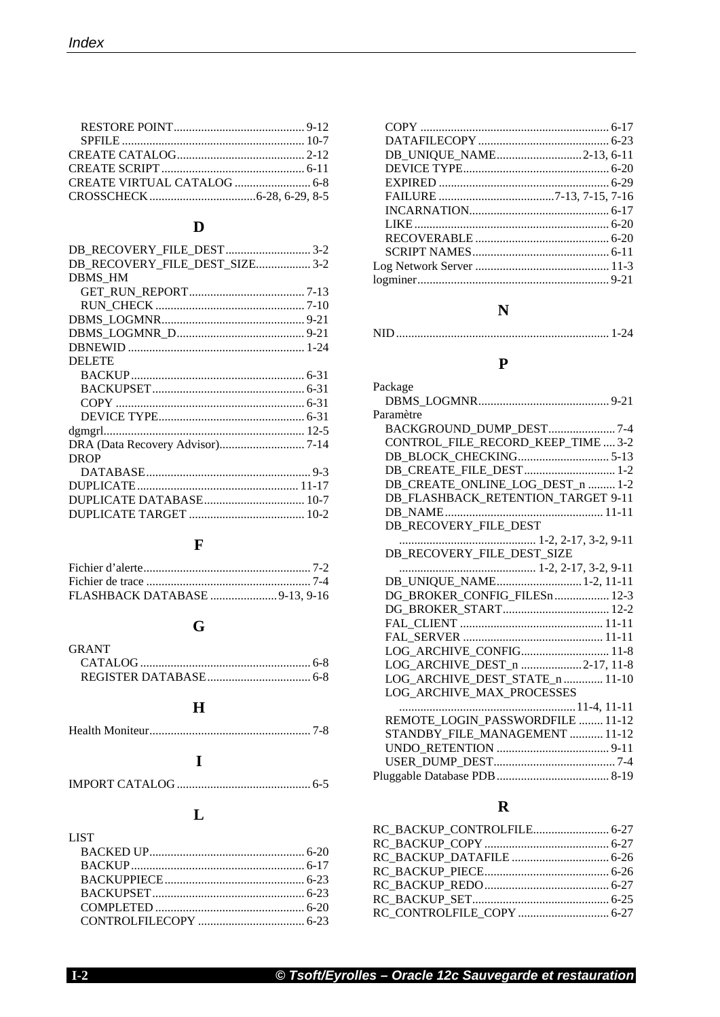# $\mathbf{D}$

| DB RECOVERY FILE DEST SIZE 3-2 |  |
|--------------------------------|--|
| <b>DBMS HM</b>                 |  |
|                                |  |
|                                |  |
|                                |  |
|                                |  |
|                                |  |
| <b>DELETE</b>                  |  |
|                                |  |
|                                |  |
|                                |  |
|                                |  |
|                                |  |
|                                |  |
| <b>DROP</b>                    |  |
|                                |  |
|                                |  |
|                                |  |
|                                |  |
|                                |  |

# $\mathbf{F}$

| FLASHBACK DATABASE 9-13, 9-16 |  |
|-------------------------------|--|

## $\mathbf G$

| <b>GRANT</b> |  |
|--------------|--|
|              |  |
|              |  |

#### $\mathbf H$

|--|

#### $\mathbf I$

## $\mathbf L$

| <b>LIST</b>             |  |
|-------------------------|--|
|                         |  |
|                         |  |
|                         |  |
| <b>BACKUPSET</b> [6-23] |  |
|                         |  |
|                         |  |

| DB_UNIQUE_NAME2-13, 6-11 |  |
|--------------------------|--|
|                          |  |
|                          |  |
|                          |  |
|                          |  |
|                          |  |
|                          |  |
|                          |  |
|                          |  |
|                          |  |
|                          |  |

#### $\overline{\mathbf{N}}$

|--|--|

#### $\mathbf P$

| Package                            |
|------------------------------------|
|                                    |
| Paramètre                          |
| BACKGROUND_DUMP_DEST7-4            |
| CONTROL_FILE_RECORD_KEEP_TIME  3-2 |
|                                    |
| DB CREATE FILE DEST 1-2            |
| DB_CREATE_ONLINE_LOG_DEST_n  1-2   |
| DB_FLASHBACK_RETENTION_TARGET 9-11 |
|                                    |
| DB_RECOVERY_FILE_DEST              |
|                                    |
| DB_RECOVERY_FILE_DEST_SIZE         |
|                                    |
| DB_UNIQUE_NAME 1-2, 11-11          |
| DG_BROKER_CONFIG_FILESn  12-3      |
|                                    |
|                                    |
|                                    |
| LOG ARCHIVE_CONFIG 11-8            |
| LOG_ARCHIVE_DEST_n 2-17, 11-8      |
| LOG_ARCHIVE_DEST_STATE_n  11-10    |
| LOG_ARCHIVE_MAX_PROCESSES          |
|                                    |
| REMOTE LOGIN PASSWORDFILE  11-12   |
| STANDBY_FILE_MANAGEMENT  11-12     |
|                                    |
|                                    |
|                                    |
|                                    |

# $\mathbf R$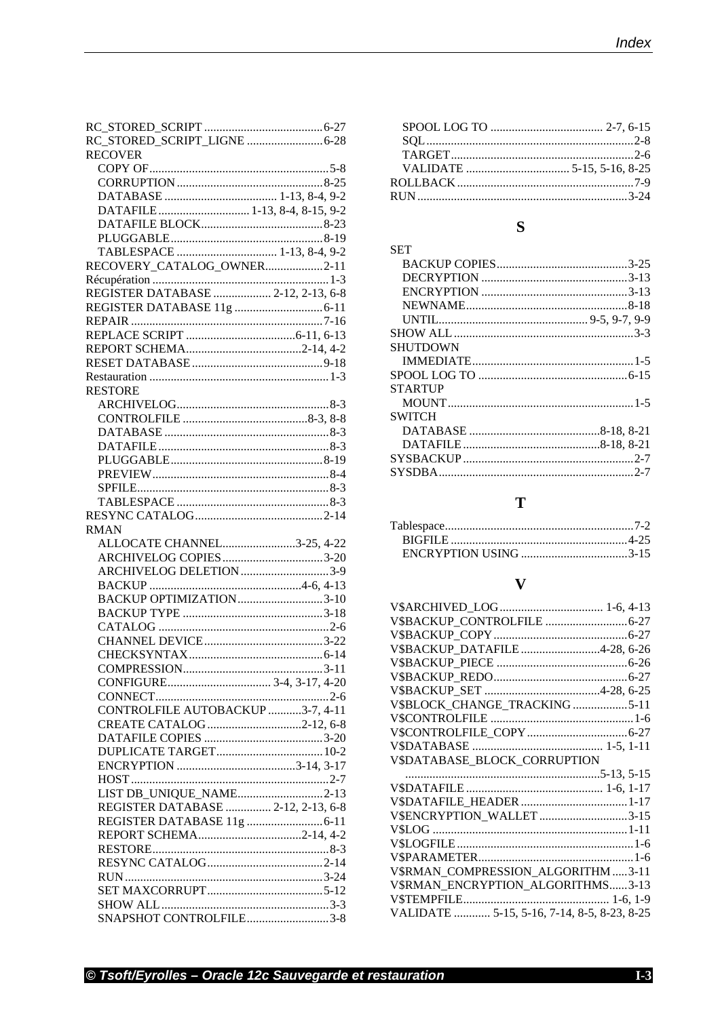| RC_STORED_SCRIPT_LIGNE  6-28       |
|------------------------------------|
| <b>RECOVER</b>                     |
|                                    |
|                                    |
|                                    |
| DATAFILE 1-13, 8-4, 8-15, 9-2      |
|                                    |
|                                    |
| TABLESPACE  1-13, 8-4, 9-2         |
| RECOVERY_CATALOG_OWNER2-11         |
|                                    |
| REGISTER DATABASE  2-12, 2-13, 6-8 |
|                                    |
|                                    |
|                                    |
|                                    |
|                                    |
|                                    |
|                                    |
| <b>RESTORE</b>                     |
|                                    |
|                                    |
|                                    |
|                                    |
|                                    |
|                                    |
|                                    |
|                                    |
|                                    |
|                                    |
| <b>RMAN</b>                        |
| ALLOCATE CHANNEL3-25, 4-22         |
|                                    |
| ARCHIVELOG COPIES3-20              |
| ARCHIVELOG DELETION 3-9            |
|                                    |
| BACKUP OPTIMIZATION3-10            |
|                                    |
|                                    |
|                                    |
|                                    |
|                                    |
|                                    |
|                                    |
| CONTROLFILE AUTOBACKUP 3-7, 4-11   |
| CREATE CATALOG 2-12, 6-8           |
|                                    |
|                                    |
|                                    |
|                                    |
| LIST DB_UNIQUE_NAME2-13            |
| REGISTER DATABASE  2-12, 2-13, 6-8 |
|                                    |
| REPORT SCHEMA2-14, 4-2             |
|                                    |
|                                    |
|                                    |
|                                    |
|                                    |

# $\mathbf S$

| SET             |  |
|-----------------|--|
|                 |  |
|                 |  |
|                 |  |
|                 |  |
|                 |  |
|                 |  |
| <b>SHUTDOWN</b> |  |
|                 |  |
|                 |  |
| <b>STARTUP</b>  |  |
|                 |  |
| SWITCH          |  |
|                 |  |
|                 |  |
|                 |  |
|                 |  |
|                 |  |

### $\overline{\mathbf{T}}$

#### $\overline{\mathbf{V}}$

| V\$BACKUP_DATAFILE4-28, 6-26                |  |
|---------------------------------------------|--|
|                                             |  |
|                                             |  |
|                                             |  |
| V\$BLOCK_CHANGE_TRACKING 5-11               |  |
|                                             |  |
|                                             |  |
|                                             |  |
| V\$DATABASE_BLOCK_CORRUPTION                |  |
|                                             |  |
|                                             |  |
|                                             |  |
|                                             |  |
| V\$ENCRYPTION_WALLET3-15                    |  |
|                                             |  |
|                                             |  |
|                                             |  |
| V\$RMAN_COMPRESSION_ALGORITHM 3-11          |  |
| V\$RMAN_ENCRYPTION_ALGORITHMS3-13           |  |
|                                             |  |
| VALIDATE  5-15, 5-16, 7-14, 8-5, 8-23, 8-25 |  |